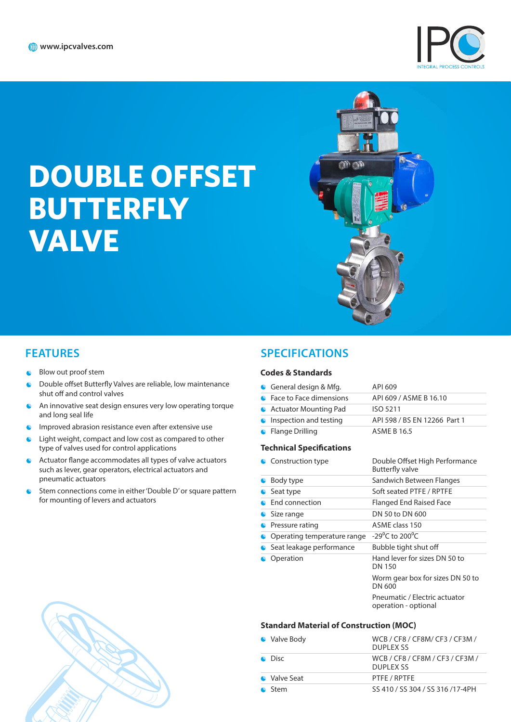

# **DOUBLE OFFSET BUTTERFLY VALVE**



- Blow out proof stem  $\bullet$
- Double offset Butterfly Valves are reliable, low maintenance  $\bullet$ shut off and control valves
- An innovative seat design ensures very low operating torque  $\bullet$ and long seal life
- Improved abrasion resistance even after extensive use  $\bullet$
- $\bullet$ Light weight, compact and low cost as compared to other type of valves used for control applications
- Actuator flange accommodates all types of valve actuators  $\bullet$ such as lever, gear operators, electrical actuators and pneumatic actuators
- Stem connections come in either 'Double D' or square pattern for mounting of levers and actuators

#### **FEATURES SPECIFICATIONS**

#### **Codes & Standards**

| General design & Mfg.           | API 609                      |
|---------------------------------|------------------------------|
| • Face to Face dimensions       | API 609 / ASME B 16.10       |
| • Actuator Mounting Pad         | <b>ISO 5211</b>              |
| <b>C</b> Inspection and testing | API 598 / BS EN 12266 Part 1 |
| • Flange Drilling               | <b>ASME B 16.5</b>           |

#### **Technical Specifications**

| • Construction type         | Double Offset High Performance<br><b>Butterfly valve</b> |
|-----------------------------|----------------------------------------------------------|
| Body type                   | Sandwich Between Flanges                                 |
| Seat type                   | Soft seated PTFE / RPTFE                                 |
| <b>End connection</b>       | Flanged End Raised Face                                  |
| Size range                  | DN 50 to DN 600                                          |
| Pressure rating             | ASME class 150                                           |
| Operating temperature range | $-29^{\circ}$ C to 200 $^{\circ}$ C                      |
| • Seat leakage performance  | Bubble tight shut off                                    |
| Operation                   | Hand lever for sizes DN 50 to<br>DN 150                  |
|                             | Worm gear box for sizes DN 50 to<br>DN 600               |
|                             | Pneumatic / Electric actuator<br>operation - optional    |

#### **Standard Material of Construction (MOC)**

| • Valve Body   | WCB / CF8 / CF8M/ CF3 / CF3M /<br>DUPLEX SS  |
|----------------|----------------------------------------------|
| $\bullet$ Disc | WCB / CF8 / CF8M / CF3 / CF3M /<br>DUPLEX SS |
| • Valve Seat   | PTFE / RPTFE                                 |
| Stem           | SS 410 / SS 304 / SS 316 /17-4PH             |